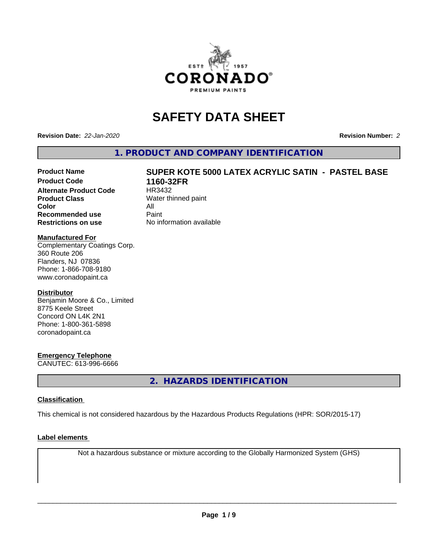

# **SAFETY DATA SHEET**

**Revision Date:** *22-Jan-2020* **Revision Number:** *2*

**1. PRODUCT AND COMPANY IDENTIFICATION**

# Product Name **SUPER KOTE 5000 LATEX ACRYLIC SATIN - PASTEL BASE**<br>Product Code 1160-32FR

**Alternate Product Code Product Class** Water thinned paint **Color** All<br> **Recommended use** Paint **Recommended use Restrictions on use** No information available

**1160-32FR**<br>HR3432

# **Manufactured For**

Complementary Coatings Corp. 360 Route 206 Flanders, NJ 07836 Phone: 1-866-708-9180 www.coronadopaint.ca

# **Distributor**

Benjamin Moore & Co., Limited 8775 Keele Street Concord ON L4K 2N1 Phone: 1-800-361-5898 coronadopaint.ca

# **Emergency Telephone**

CANUTEC: 613-996-6666

**2. HAZARDS IDENTIFICATION**

# **Classification**

This chemical is not considered hazardous by the Hazardous Products Regulations (HPR: SOR/2015-17)

# **Label elements**

Not a hazardous substance or mixture according to the Globally Harmonized System (GHS)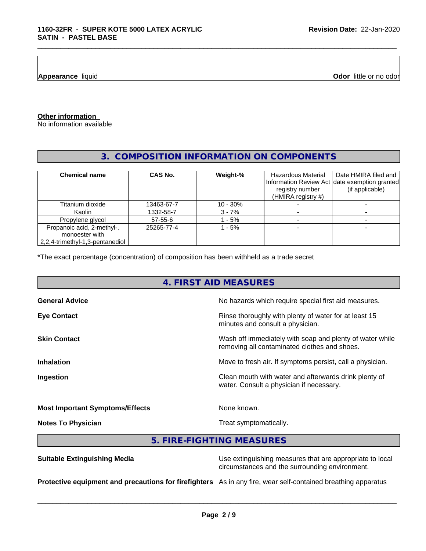**Appearance** liquid

**Odor** little or no odor

**Other information**

No information available

# **3. COMPOSITION INFORMATION ON COMPONENTS**

\_\_\_\_\_\_\_\_\_\_\_\_\_\_\_\_\_\_\_\_\_\_\_\_\_\_\_\_\_\_\_\_\_\_\_\_\_\_\_\_\_\_\_\_\_\_\_\_\_\_\_\_\_\_\_\_\_\_\_\_\_\_\_\_\_\_\_\_\_\_\_\_\_\_\_\_\_\_\_\_\_\_\_\_\_\_\_\_\_\_\_\_\_

| <b>Chemical name</b>            | <b>CAS No.</b> | Weight-%   | Hazardous Material<br>registry number<br>(HMIRA registry #) | Date HMIRA filed and<br>Information Review Act date exemption granted<br>(if applicable) |
|---------------------------------|----------------|------------|-------------------------------------------------------------|------------------------------------------------------------------------------------------|
| Titanium dioxide                | 13463-67-7     | $10 - 30%$ |                                                             |                                                                                          |
| Kaolin                          | 1332-58-7      | $3 - 7%$   |                                                             |                                                                                          |
| Propylene glycol                | 57-55-6        | $-5%$      |                                                             |                                                                                          |
| Propanoic acid, 2-methyl-,      | 25265-77-4     | - 5%       |                                                             |                                                                                          |
| monoester with                  |                |            |                                                             |                                                                                          |
| 2,2,4-trimethyl-1,3-pentanediol |                |            |                                                             |                                                                                          |

\*The exact percentage (concentration) of composition has been withheld as a trade secret

# **4. FIRST AID MEASURES**

| <b>General Advice</b>                  | No hazards which require special first aid measures.                                                     |
|----------------------------------------|----------------------------------------------------------------------------------------------------------|
| <b>Eye Contact</b>                     | Rinse thoroughly with plenty of water for at least 15<br>minutes and consult a physician.                |
| <b>Skin Contact</b>                    | Wash off immediately with soap and plenty of water while<br>removing all contaminated clothes and shoes. |
| <b>Inhalation</b>                      | Move to fresh air. If symptoms persist, call a physician.                                                |
| Ingestion                              | Clean mouth with water and afterwards drink plenty of<br>water. Consult a physician if necessary.        |
| <b>Most Important Symptoms/Effects</b> | None known.                                                                                              |

**Notes To Physician** Motes To Physician Treat symptomatically.

 $\overline{\phantom{a}}$  ,  $\overline{\phantom{a}}$  ,  $\overline{\phantom{a}}$  ,  $\overline{\phantom{a}}$  ,  $\overline{\phantom{a}}$  ,  $\overline{\phantom{a}}$  ,  $\overline{\phantom{a}}$  ,  $\overline{\phantom{a}}$  ,  $\overline{\phantom{a}}$  ,  $\overline{\phantom{a}}$  ,  $\overline{\phantom{a}}$  ,  $\overline{\phantom{a}}$  ,  $\overline{\phantom{a}}$  ,  $\overline{\phantom{a}}$  ,  $\overline{\phantom{a}}$  ,  $\overline{\phantom{a}}$ 

**5. FIRE-FIGHTING MEASURES**

**Suitable Extinguishing Media** Use extinguishing measures that are appropriate to local circumstances and the surrounding environment. **Protective equipment and precautions for firefighters** As in any fire, wear self-contained breathing apparatus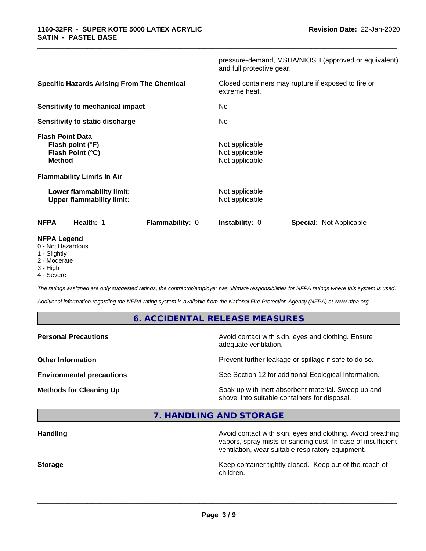|                                                                                  | pressure-demand, MSHA/NIOSH (approved or equivalent)<br>and full protective gear. |
|----------------------------------------------------------------------------------|-----------------------------------------------------------------------------------|
| <b>Specific Hazards Arising From The Chemical</b>                                | Closed containers may rupture if exposed to fire or<br>extreme heat.              |
| <b>Sensitivity to mechanical impact</b>                                          | No.                                                                               |
| Sensitivity to static discharge                                                  | No.                                                                               |
| <b>Flash Point Data</b><br>Flash point (°F)<br>Flash Point (°C)<br><b>Method</b> | Not applicable<br>Not applicable<br>Not applicable                                |
| <b>Flammability Limits In Air</b>                                                |                                                                                   |
| Lower flammability limit:<br><b>Upper flammability limit:</b>                    | Not applicable<br>Not applicable                                                  |
| <b>NFPA</b><br>Health: 1<br><b>Flammability: 0</b>                               | <b>Instability: 0</b><br><b>Special: Not Applicable</b>                           |
| <b>NFPA Legend</b><br>0 - Not Hazardous                                          |                                                                                   |

\_\_\_\_\_\_\_\_\_\_\_\_\_\_\_\_\_\_\_\_\_\_\_\_\_\_\_\_\_\_\_\_\_\_\_\_\_\_\_\_\_\_\_\_\_\_\_\_\_\_\_\_\_\_\_\_\_\_\_\_\_\_\_\_\_\_\_\_\_\_\_\_\_\_\_\_\_\_\_\_\_\_\_\_\_\_\_\_\_\_\_\_\_

- 1 Slightly
- 2 Moderate
- 3 High
- 4 Severe

*The ratings assigned are only suggested ratings, the contractor/employer has ultimate responsibilities for NFPA ratings where this system is used.*

*Additional information regarding the NFPA rating system is available from the National Fire Protection Agency (NFPA) at www.nfpa.org.*

# **6. ACCIDENTAL RELEASE MEASURES**

| <b>Personal Precautions</b>      | Avoid contact with skin, eyes and clothing. Ensure<br>adequate ventilation.                          |
|----------------------------------|------------------------------------------------------------------------------------------------------|
| <b>Other Information</b>         | Prevent further leakage or spillage if safe to do so.                                                |
| <b>Environmental precautions</b> | See Section 12 for additional Ecological Information.                                                |
| <b>Methods for Cleaning Up</b>   | Soak up with inert absorbent material. Sweep up and<br>shovel into suitable containers for disposal. |

**7. HANDLING AND STORAGE**

| Avoid contact with skin, eyes and clothing. Avoid breathing<br>vapors, spray mists or sanding dust. In case of insufficient<br>ventilation, wear suitable respiratory equipment. |
|----------------------------------------------------------------------------------------------------------------------------------------------------------------------------------|
| Keep container tightly closed. Keep out of the reach of<br>children.                                                                                                             |
|                                                                                                                                                                                  |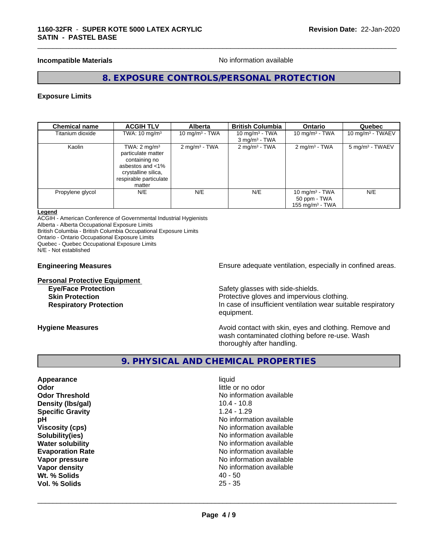# **Incompatible Materials Incompatible Materials No information available**

\_\_\_\_\_\_\_\_\_\_\_\_\_\_\_\_\_\_\_\_\_\_\_\_\_\_\_\_\_\_\_\_\_\_\_\_\_\_\_\_\_\_\_\_\_\_\_\_\_\_\_\_\_\_\_\_\_\_\_\_\_\_\_\_\_\_\_\_\_\_\_\_\_\_\_\_\_\_\_\_\_\_\_\_\_\_\_\_\_\_\_\_\_

# **8. EXPOSURE CONTROLS/PERSONAL PROTECTION**

#### **Exposure Limits**

| <b>Chemical name</b> | <b>ACGIH TLV</b>                                                                                                                              | <b>Alberta</b>           | <b>British Columbia</b>                          | <b>Ontario</b>                                          | Quebec                     |
|----------------------|-----------------------------------------------------------------------------------------------------------------------------------------------|--------------------------|--------------------------------------------------|---------------------------------------------------------|----------------------------|
| Titanium dioxide     | TWA: $10 \text{ mg/m}^3$                                                                                                                      | 10 mg/m $3$ - TWA        | 10 mg/m $3$ - TWA<br>$3$ mg/m <sup>3</sup> - TWA | 10 mg/m $3$ - TWA                                       | 10 mg/m $3$ - TWAEV        |
| Kaolin               | TWA: $2 \text{ mg/m}^3$<br>particulate matter<br>containing no<br>asbestos and <1%<br>crystalline silica,<br>respirable particulate<br>matter | $2 \text{ mg/m}^3$ - TWA | $2$ mg/m <sup>3</sup> - TWA                      | $2 \text{mq/m}^3$ - TWA                                 | $5 \text{ mg/m}^3$ - TWAEV |
| Propylene glycol     | N/E                                                                                                                                           | N/E                      | N/E                                              | 10 mg/m $3$ - TWA<br>50 ppm - TWA<br>155 mg/m $3$ - TWA | N/E                        |

#### **Legend**

ACGIH - American Conference of Governmental Industrial Hygienists Alberta - Alberta Occupational Exposure Limits British Columbia - British Columbia Occupational Exposure Limits Ontario - Ontario Occupational Exposure Limits

Quebec - Quebec Occupational Exposure Limits N/E - Not established

**Personal Protective Equipment**

**Engineering Measures Ensure** Ensure adequate ventilation, especially in confined areas.

**Eye/Face Protection Safety glasses with side-shields. Skin Protection Protection Protective gloves and impervious clothing. Respiratory Protection In case of insufficient ventilation wear suitable respiratory** equipment.

**Hygiene Measures Avoid contact with skin, eyes and clothing. Remove and Hygiene Measures** and clothing. Remove and wash contaminated clothing before re-use. Wash thoroughly after handling.

# **9. PHYSICAL AND CHEMICAL PROPERTIES**

**Appearance** liquid **Odor** little or no odor **Density (Ibs/gal) Specific Gravity** 1.24 - 1.29 **Wt. % Solids** 40 - 50 **Vol. % Solids** 25 - 35

**Odor Threshold**<br> **Density (Ibs/gal)**<br> **Density (Ibs/gal)**<br> **No information available**<br>  $10.4 - 10.8$ **pH** No information available **Viscosity (cps)** No information available **Solubility(ies)** No information available **Water solubility Water solubility Water solubility Water solubility Water solubility Water solution Evaporation Rate Evaporation Rate No information available Vapor pressure** No information available **Vapor density Vapor density No information available**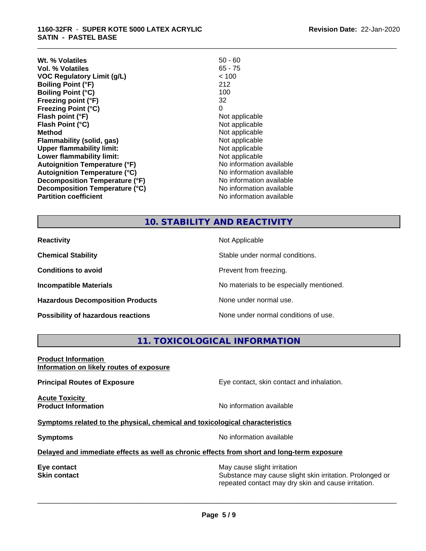| Wt. % Volatiles                      | $50 - 60$                |
|--------------------------------------|--------------------------|
| Vol. % Volatiles                     | 65 - 75                  |
| <b>VOC Regulatory Limit (g/L)</b>    | < 100                    |
| <b>Boiling Point (°F)</b>            | 212                      |
| <b>Boiling Point (°C)</b>            | 100                      |
| Freezing point (°F)                  | 32                       |
| <b>Freezing Point (°C)</b>           | 0                        |
| Flash point (°F)                     | Not applicable           |
| Flash Point (°C)                     | Not applicable           |
| Method                               | Not applicable           |
| Flammability (solid, gas)            | Not applicable           |
| <b>Upper flammability limit:</b>     | Not applicable           |
| Lower flammability limit:            | Not applicable           |
| <b>Autoignition Temperature (°F)</b> | No information available |
| <b>Autoignition Temperature (°C)</b> | No information available |
| Decomposition Temperature (°F)       | No information available |
| Decomposition Temperature (°C)       | No information available |
| <b>Partition coefficient</b>         | No information available |

# **10. STABILITY AND REACTIVITY**

**Hazardous Decomposition Products** None under normal use.

**Reactivity** Not Applicable

**Chemical Stability** Stable under normal conditions.

**Conditions to avoid Prevent from freezing.** 

\_\_\_\_\_\_\_\_\_\_\_\_\_\_\_\_\_\_\_\_\_\_\_\_\_\_\_\_\_\_\_\_\_\_\_\_\_\_\_\_\_\_\_\_\_\_\_\_\_\_\_\_\_\_\_\_\_\_\_\_\_\_\_\_\_\_\_\_\_\_\_\_\_\_\_\_\_\_\_\_\_\_\_\_\_\_\_\_\_\_\_\_\_

**Incompatible Materials No materials** No materials to be especially mentioned.

**Possibility of hazardous reactions** None under normal conditions of use.

# **11. TOXICOLOGICAL INFORMATION**

## **Product Information Information on likely routes of exposure**

**Principal Routes of Exposure Exposure** Eye contact, skin contact and inhalation.

**Acute Toxicity** 

**Product Information Integral Contract Contract Contract Contract Contract Contract Contract Contract Contract Contract Contract Contract Contract Contract Contract Contract Contract Contract Contract Contract Contract C** 

# **Symptoms** related to the physical, chemical and toxicological characteristics

**Symptoms** No information available

 $\overline{\phantom{a}}$  ,  $\overline{\phantom{a}}$  ,  $\overline{\phantom{a}}$  ,  $\overline{\phantom{a}}$  ,  $\overline{\phantom{a}}$  ,  $\overline{\phantom{a}}$  ,  $\overline{\phantom{a}}$  ,  $\overline{\phantom{a}}$  ,  $\overline{\phantom{a}}$  ,  $\overline{\phantom{a}}$  ,  $\overline{\phantom{a}}$  ,  $\overline{\phantom{a}}$  ,  $\overline{\phantom{a}}$  ,  $\overline{\phantom{a}}$  ,  $\overline{\phantom{a}}$  ,  $\overline{\phantom{a}}$ 

# **Delayed and immediate effects as well as chronic effects from short and long-term exposure**

**Eye contact Exercise Solution** May cause slight irritation **Skin contact** Substance may cause slight skin irritation. Prolonged or repeated contact may dry skin and cause irritation.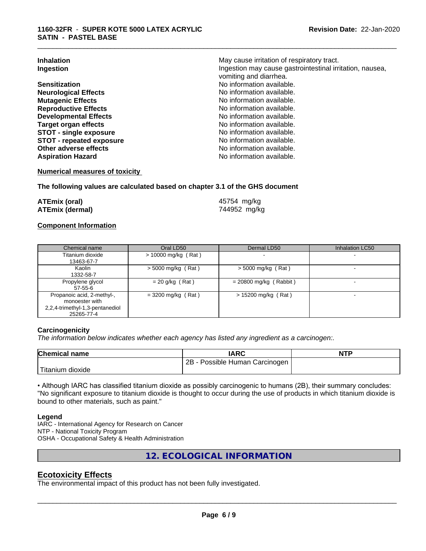| <b>Inhalation</b>               | May cause irritation of respiratory tract.               |
|---------------------------------|----------------------------------------------------------|
| Ingestion                       | Ingestion may cause gastrointestinal irritation, nausea, |
|                                 | vomiting and diarrhea.                                   |
| <b>Sensitization</b>            | No information available.                                |
| <b>Neurological Effects</b>     | No information available.                                |
| <b>Mutagenic Effects</b>        | No information available.                                |
| <b>Reproductive Effects</b>     | No information available.                                |
| <b>Developmental Effects</b>    | No information available.                                |
| Target organ effects            | No information available.                                |
| <b>STOT - single exposure</b>   | No information available.                                |
| <b>STOT - repeated exposure</b> | No information available.                                |
| Other adverse effects           | No information available.                                |
| <b>Aspiration Hazard</b>        | No information available.                                |

\_\_\_\_\_\_\_\_\_\_\_\_\_\_\_\_\_\_\_\_\_\_\_\_\_\_\_\_\_\_\_\_\_\_\_\_\_\_\_\_\_\_\_\_\_\_\_\_\_\_\_\_\_\_\_\_\_\_\_\_\_\_\_\_\_\_\_\_\_\_\_\_\_\_\_\_\_\_\_\_\_\_\_\_\_\_\_\_\_\_\_\_\_

### **Numerical measures of toxicity**

#### **The following values are calculated based on chapter 3.1 of the GHS document**

| <b>ATEmix (oral)</b>   | 45754 mg/kg  |
|------------------------|--------------|
| <b>ATEmix (dermal)</b> | 744952 mg/kg |

# **Component Information**

| Chemical name                   | Oral LD50            | Dermal LD50              | Inhalation LC50 |
|---------------------------------|----------------------|--------------------------|-----------------|
| Titanium dioxide                | > 10000 mg/kg (Rat)  |                          |                 |
| 13463-67-7                      |                      |                          |                 |
| Kaolin                          | $>$ 5000 mg/kg (Rat) | $>$ 5000 mg/kg (Rat)     |                 |
| 1332-58-7                       |                      |                          |                 |
| Propylene glycol                | $= 20$ g/kg (Rat)    | $= 20800$ mg/kg (Rabbit) |                 |
| 57-55-6                         |                      |                          |                 |
| Propanoic acid, 2-methyl-,      | $=$ 3200 mg/kg (Rat) | $> 15200$ mg/kg (Rat)    |                 |
| monoester with                  |                      |                          |                 |
| 2,2,4-trimethyl-1,3-pentanediol |                      |                          |                 |
| 25265-77-4                      |                      |                          |                 |

#### **Carcinogenicity**

*The information below indicateswhether each agency has listed any ingredient as a carcinogen:.*

| <b>Chemical name</b>               | IARC                            | <b>NTP</b> |
|------------------------------------|---------------------------------|------------|
|                                    | 2B<br>Possible Human Carcinogen |            |
| <b>THE</b><br>dioxide<br>l itanıum |                                 |            |

• Although IARC has classified titanium dioxide as possibly carcinogenic to humans (2B), their summary concludes: "No significant exposure to titanium dioxide is thought to occur during the use of products in which titanium dioxide is bound to other materials, such as paint."

#### **Legend**

IARC - International Agency for Research on Cancer NTP - National Toxicity Program OSHA - Occupational Safety & Health Administration

**12. ECOLOGICAL INFORMATION**

# **Ecotoxicity Effects**

The environmental impact of this product has not been fully investigated.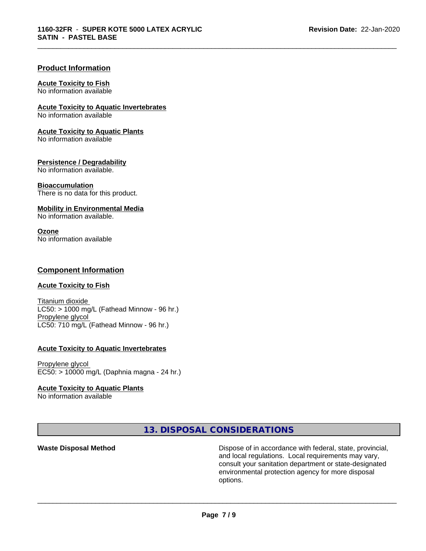\_\_\_\_\_\_\_\_\_\_\_\_\_\_\_\_\_\_\_\_\_\_\_\_\_\_\_\_\_\_\_\_\_\_\_\_\_\_\_\_\_\_\_\_\_\_\_\_\_\_\_\_\_\_\_\_\_\_\_\_\_\_\_\_\_\_\_\_\_\_\_\_\_\_\_\_\_\_\_\_\_\_\_\_\_\_\_\_\_\_\_\_\_

# **Product Information**

### **Acute Toxicity to Fish**

No information available

**Acute Toxicity to Aquatic Invertebrates**

No information available

#### **Acute Toxicity to Aquatic Plants**

No information available

# **Persistence / Degradability**

No information available.

#### **Bioaccumulation**

There is no data for this product.

# **Mobility in Environmental Media**

No information available.

### **Ozone**

No information available

# **Component Information**

# **Acute Toxicity to Fish**

Titanium dioxide  $LC50:$  > 1000 mg/L (Fathead Minnow - 96 hr.) Propylene glycol LC50: 710 mg/L (Fathead Minnow - 96 hr.)

# **Acute Toxicity to Aquatic Invertebrates**

Propylene glycol EC50: > 10000 mg/L (Daphnia magna - 24 hr.)

# **Acute Toxicity to Aquatic Plants**

No information available

# **13. DISPOSAL CONSIDERATIONS**

**Waste Disposal Method Dispose of in accordance with federal, state, provincial,** and local regulations. Local requirements may vary, consult your sanitation department or state-designated environmental protection agency for more disposal options.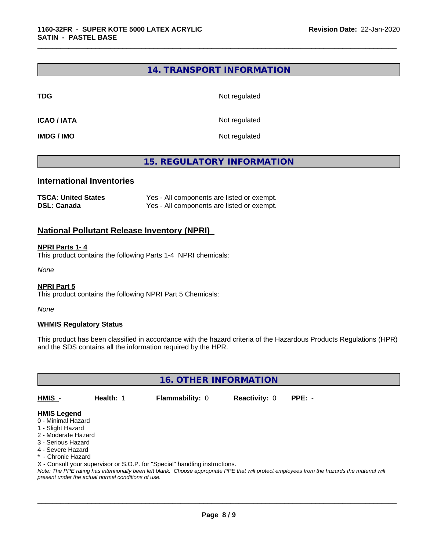# **14. TRANSPORT INFORMATION**

**TDG** Not regulated

\_\_\_\_\_\_\_\_\_\_\_\_\_\_\_\_\_\_\_\_\_\_\_\_\_\_\_\_\_\_\_\_\_\_\_\_\_\_\_\_\_\_\_\_\_\_\_\_\_\_\_\_\_\_\_\_\_\_\_\_\_\_\_\_\_\_\_\_\_\_\_\_\_\_\_\_\_\_\_\_\_\_\_\_\_\_\_\_\_\_\_\_\_

**ICAO / IATA** Not regulated

**IMDG / IMO** Not regulated

# **15. REGULATORY INFORMATION**

# **International Inventories**

| <b>TSCA: United States</b> | Yes - All components are listed or exempt. |
|----------------------------|--------------------------------------------|
| <b>DSL: Canada</b>         | Yes - All components are listed or exempt. |

# **National Pollutant Release Inventory (NPRI)**

#### **NPRI Parts 1- 4**

This product contains the following Parts 1-4 NPRI chemicals:

*None*

#### **NPRI Part 5**

This product contains the following NPRI Part 5 Chemicals:

*None*

#### **WHMIS Regulatory Status**

This product has been classified in accordance with the hazard criteria of the Hazardous Products Regulations (HPR) and the SDS contains all the information required by the HPR.

**16. OTHER INFORMATION**

**HMIS** - **Health:** 1 **Flammability:** 0 **Reactivity:** 0 **PPE:** -

 $\overline{\phantom{a}}$  ,  $\overline{\phantom{a}}$  ,  $\overline{\phantom{a}}$  ,  $\overline{\phantom{a}}$  ,  $\overline{\phantom{a}}$  ,  $\overline{\phantom{a}}$  ,  $\overline{\phantom{a}}$  ,  $\overline{\phantom{a}}$  ,  $\overline{\phantom{a}}$  ,  $\overline{\phantom{a}}$  ,  $\overline{\phantom{a}}$  ,  $\overline{\phantom{a}}$  ,  $\overline{\phantom{a}}$  ,  $\overline{\phantom{a}}$  ,  $\overline{\phantom{a}}$  ,  $\overline{\phantom{a}}$ 

# **HMIS Legend**

- 0 Minimal Hazard
- 1 Slight Hazard
- 2 Moderate Hazard
- 3 Serious Hazard
- 4 Severe Hazard
- \* Chronic Hazard

X - Consult your supervisor or S.O.P. for "Special" handling instructions.

*Note: The PPE rating has intentionally been left blank. Choose appropriate PPE that will protect employees from the hazards the material will present under the actual normal conditions of use.*